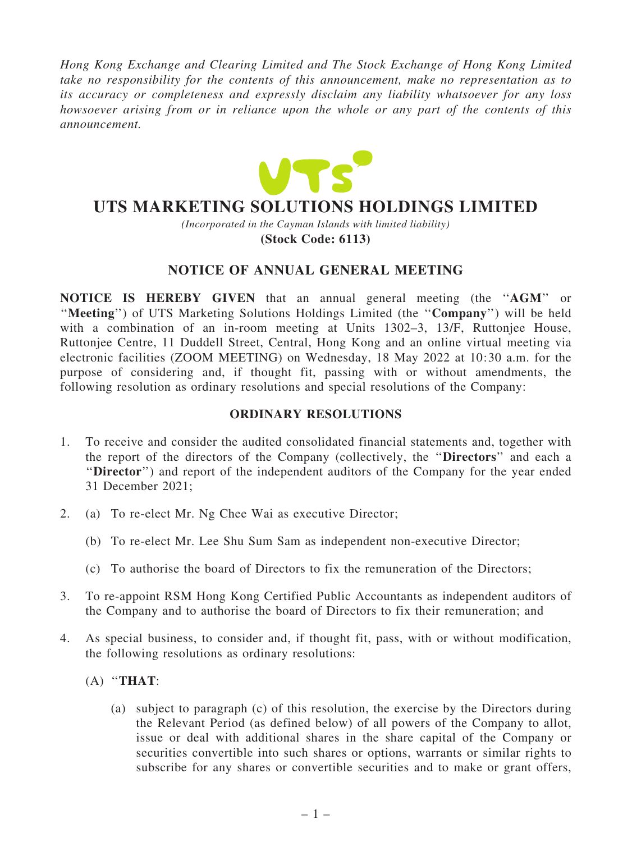*Hong Kong Exchange and Clearing Limited and The Stock Exchange of Hong Kong Limited take no responsibility for the contents of this announcement, make no representation as to its accuracy or completeness and expressly disclaim any liability whatsoever for any loss howsoever arising from or in reliance upon the whole or any part of the contents of this announcement.*



# **UTS MARKETING SOLUTIONS HOLDINGS LIMITED**

*(Incorporated in the Cayman Islands with limited liability)*

**(Stock Code: 6113)**

# NOTICE OF ANNUAL GENERAL MEETING

NOTICE IS HEREBY GIVEN that an annual general meeting (the ''AGM'' or "Meeting") of UTS Marketing Solutions Holdings Limited (the "Company") will be held with a combination of an in-room meeting at Units 1302–3, 13/F, Ruttonjee House, Ruttonjee Centre, 11 Duddell Street, Central, Hong Kong and an online virtual meeting via electronic facilities (ZOOM MEETING) on Wednesday, 18 May 2022 at 10:30 a.m. for the purpose of considering and, if thought fit, passing with or without amendments, the following resolution as ordinary resolutions and special resolutions of the Company:

### ORDINARY RESOLUTIONS

- 1. To receive and consider the audited consolidated financial statements and, together with the report of the directors of the Company (collectively, the ''Directors'' and each a "Director") and report of the independent auditors of the Company for the year ended 31 December 2021;
- 2. (a) To re-elect Mr. Ng Chee Wai as executive Director;
	- (b) To re-elect Mr. Lee Shu Sum Sam as independent non-executive Director;
	- (c) To authorise the board of Directors to fix the remuneration of the Directors;
- 3. To re-appoint RSM Hong Kong Certified Public Accountants as independent auditors of the Company and to authorise the board of Directors to fix their remuneration; and
- 4. As special business, to consider and, if thought fit, pass, with or without modification, the following resolutions as ordinary resolutions:
	- $(A)$  "THAT:
		- (a) subject to paragraph (c) of this resolution, the exercise by the Directors during the Relevant Period (as defined below) of all powers of the Company to allot, issue or deal with additional shares in the share capital of the Company or securities convertible into such shares or options, warrants or similar rights to subscribe for any shares or convertible securities and to make or grant offers,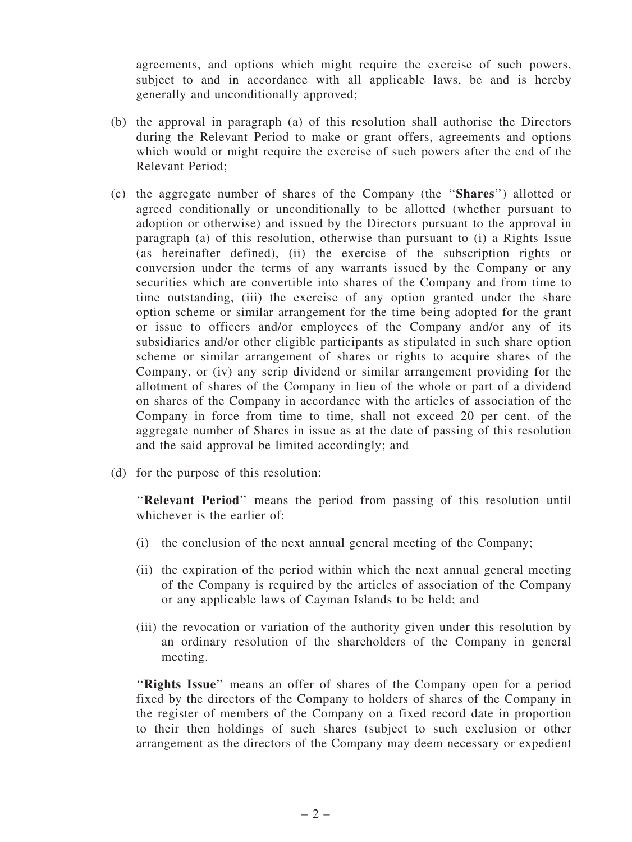agreements, and options which might require the exercise of such powers, subject to and in accordance with all applicable laws, be and is hereby generally and unconditionally approved;

- (b) the approval in paragraph (a) of this resolution shall authorise the Directors during the Relevant Period to make or grant offers, agreements and options which would or might require the exercise of such powers after the end of the Relevant Period;
- (c) the aggregate number of shares of the Company (the ''Shares'') allotted or agreed conditionally or unconditionally to be allotted (whether pursuant to adoption or otherwise) and issued by the Directors pursuant to the approval in paragraph (a) of this resolution, otherwise than pursuant to (i) a Rights Issue (as hereinafter defined), (ii) the exercise of the subscription rights or conversion under the terms of any warrants issued by the Company or any securities which are convertible into shares of the Company and from time to time outstanding, (iii) the exercise of any option granted under the share option scheme or similar arrangement for the time being adopted for the grant or issue to officers and/or employees of the Company and/or any of its subsidiaries and/or other eligible participants as stipulated in such share option scheme or similar arrangement of shares or rights to acquire shares of the Company, or (iv) any scrip dividend or similar arrangement providing for the allotment of shares of the Company in lieu of the whole or part of a dividend on shares of the Company in accordance with the articles of association of the Company in force from time to time, shall not exceed 20 per cent. of the aggregate number of Shares in issue as at the date of passing of this resolution and the said approval be limited accordingly; and
- (d) for the purpose of this resolution:

"Relevant Period" means the period from passing of this resolution until whichever is the earlier of:

- (i) the conclusion of the next annual general meeting of the Company;
- (ii) the expiration of the period within which the next annual general meeting of the Company is required by the articles of association of the Company or any applicable laws of Cayman Islands to be held; and
- (iii) the revocation or variation of the authority given under this resolution by an ordinary resolution of the shareholders of the Company in general meeting.

"Rights Issue" means an offer of shares of the Company open for a period fixed by the directors of the Company to holders of shares of the Company in the register of members of the Company on a fixed record date in proportion to their then holdings of such shares (subject to such exclusion or other arrangement as the directors of the Company may deem necessary or expedient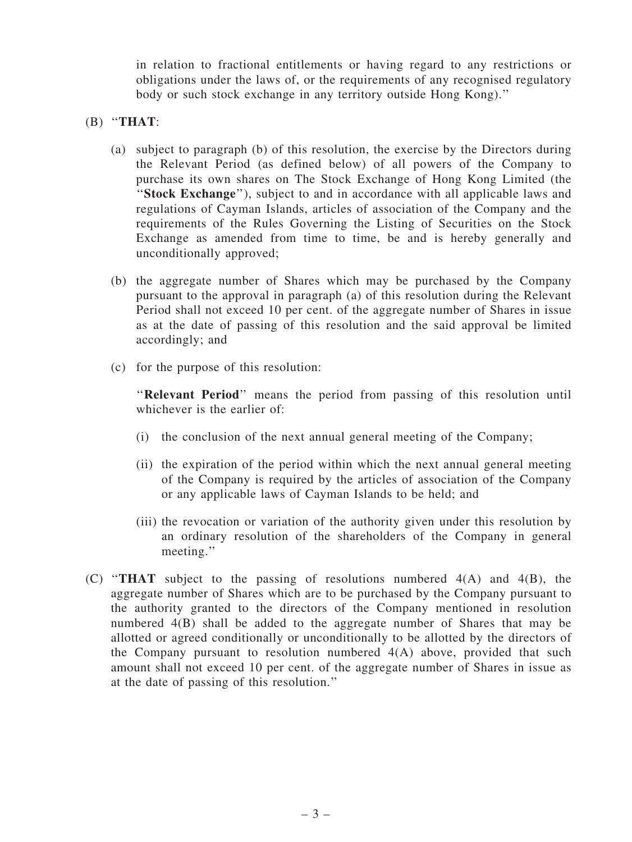in relation to fractional entitlements or having regard to any restrictions or obligations under the laws of, or the requirements of any recognised regulatory body or such stock exchange in any territory outside Hong Kong).''

- $(B)$  "THAT:
	- (a) subject to paragraph (b) of this resolution, the exercise by the Directors during the Relevant Period (as defined below) of all powers of the Company to purchase its own shares on The Stock Exchange of Hong Kong Limited (the "Stock Exchange"), subject to and in accordance with all applicable laws and regulations of Cayman Islands, articles of association of the Company and the requirements of the Rules Governing the Listing of Securities on the Stock Exchange as amended from time to time, be and is hereby generally and unconditionally approved;
	- (b) the aggregate number of Shares which may be purchased by the Company pursuant to the approval in paragraph (a) of this resolution during the Relevant Period shall not exceed 10 per cent. of the aggregate number of Shares in issue as at the date of passing of this resolution and the said approval be limited accordingly; and
	- (c) for the purpose of this resolution:

"Relevant Period" means the period from passing of this resolution until whichever is the earlier of:

- (i) the conclusion of the next annual general meeting of the Company;
- (ii) the expiration of the period within which the next annual general meeting of the Company is required by the articles of association of the Company or any applicable laws of Cayman Islands to be held; and
- (iii) the revocation or variation of the authority given under this resolution by an ordinary resolution of the shareholders of the Company in general meeting.''
- (C) ''THAT subject to the passing of resolutions numbered 4(A) and 4(B), the aggregate number of Shares which are to be purchased by the Company pursuant to the authority granted to the directors of the Company mentioned in resolution numbered 4(B) shall be added to the aggregate number of Shares that may be allotted or agreed conditionally or unconditionally to be allotted by the directors of the Company pursuant to resolution numbered  $4(A)$  above, provided that such amount shall not exceed 10 per cent. of the aggregate number of Shares in issue as at the date of passing of this resolution.''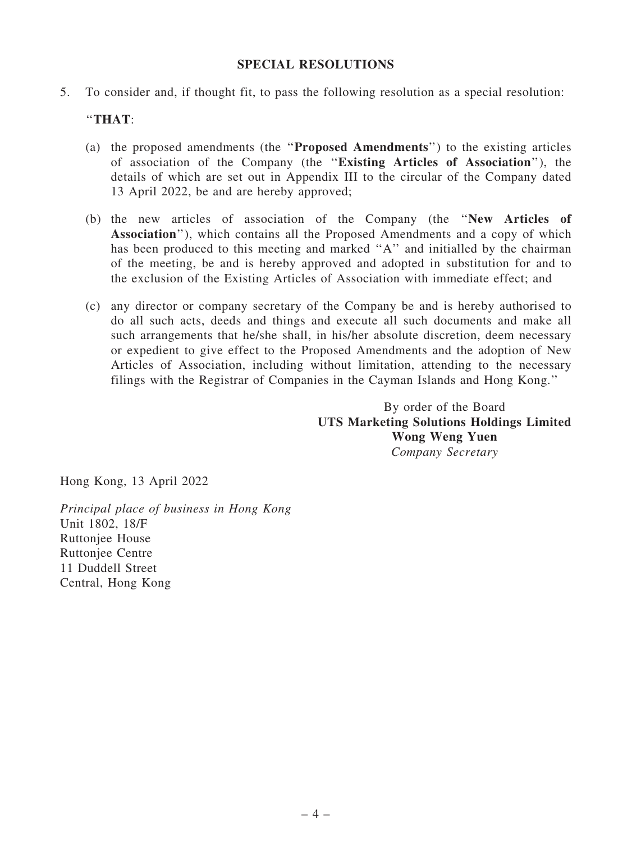### SPECIAL RESOLUTIONS

5. To consider and, if thought fit, to pass the following resolution as a special resolution:

## ''THAT:

- (a) the proposed amendments (the ''Proposed Amendments'') to the existing articles of association of the Company (the ''Existing Articles of Association''), the details of which are set out in Appendix III to the circular of the Company dated 13 April 2022, be and are hereby approved;
- (b) the new articles of association of the Company (the ''New Articles of Association''), which contains all the Proposed Amendments and a copy of which has been produced to this meeting and marked "A" and initialled by the chairman of the meeting, be and is hereby approved and adopted in substitution for and to the exclusion of the Existing Articles of Association with immediate effect; and
- (c) any director or company secretary of the Company be and is hereby authorised to do all such acts, deeds and things and execute all such documents and make all such arrangements that he/she shall, in his/her absolute discretion, deem necessary or expedient to give effect to the Proposed Amendments and the adoption of New Articles of Association, including without limitation, attending to the necessary filings with the Registrar of Companies in the Cayman Islands and Hong Kong.''

By order of the Board UTS Marketing Solutions Holdings Limited Wong Weng Yuen *Company Secretary*

Hong Kong, 13 April 2022

*Principal place of business in Hong Kong* Unit 1802, 18/F Ruttonjee House Ruttonjee Centre 11 Duddell Street Central, Hong Kong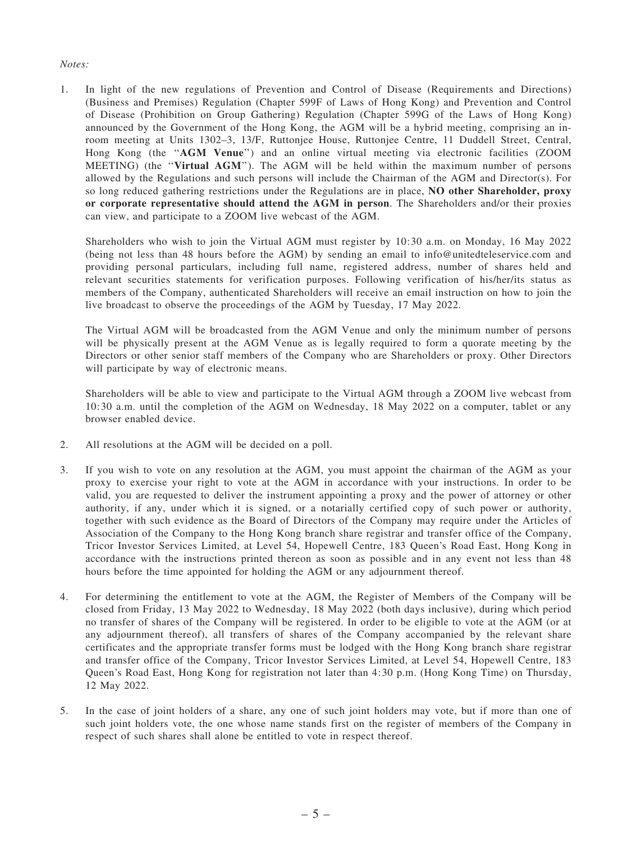#### *Notes:*

1. In light of the new regulations of Prevention and Control of Disease (Requirements and Directions) (Business and Premises) Regulation (Chapter 599F of Laws of Hong Kong) and Prevention and Control of Disease (Prohibition on Group Gathering) Regulation (Chapter 599G of the Laws of Hong Kong) announced by the Government of the Hong Kong, the AGM will be a hybrid meeting, comprising an inroom meeting at Units 1302–3, 13/F, Ruttonjee House, Ruttonjee Centre, 11 Duddell Street, Central, Hong Kong (the "AGM Venue") and an online virtual meeting via electronic facilities (ZOOM MEETING) (the ''Virtual AGM''). The AGM will be held within the maximum number of persons allowed by the Regulations and such persons will include the Chairman of the AGM and Director(s). For so long reduced gathering restrictions under the Regulations are in place, NO other Shareholder, proxy or corporate representative should attend the AGM in person. The Shareholders and/or their proxies can view, and participate to a ZOOM live webcast of the AGM.

Shareholders who wish to join the Virtual AGM must register by 10:30 a.m. on Monday, 16 May 2022 (being not less than 48 hours before the AGM) by sending an email to info@unitedteleservice.com and providing personal particulars, including full name, registered address, number of shares held and relevant securities statements for verification purposes. Following verification of his/her/its status as members of the Company, authenticated Shareholders will receive an email instruction on how to join the live broadcast to observe the proceedings of the AGM by Tuesday, 17 May 2022.

The Virtual AGM will be broadcasted from the AGM Venue and only the minimum number of persons will be physically present at the AGM Venue as is legally required to form a quorate meeting by the Directors or other senior staff members of the Company who are Shareholders or proxy. Other Directors will participate by way of electronic means.

Shareholders will be able to view and participate to the Virtual AGM through a ZOOM live webcast from 10:30 a.m. until the completion of the AGM on Wednesday, 18 May 2022 on a computer, tablet or any browser enabled device.

- 2. All resolutions at the AGM will be decided on a poll.
- 3. If you wish to vote on any resolution at the AGM, you must appoint the chairman of the AGM as your proxy to exercise your right to vote at the AGM in accordance with your instructions. In order to be valid, you are requested to deliver the instrument appointing a proxy and the power of attorney or other authority, if any, under which it is signed, or a notarially certified copy of such power or authority, together with such evidence as the Board of Directors of the Company may require under the Articles of Association of the Company to the Hong Kong branch share registrar and transfer office of the Company, Tricor Investor Services Limited, at Level 54, Hopewell Centre, 183 Queen's Road East, Hong Kong in accordance with the instructions printed thereon as soon as possible and in any event not less than 48 hours before the time appointed for holding the AGM or any adjournment thereof.
- 4. For determining the entitlement to vote at the AGM, the Register of Members of the Company will be closed from Friday, 13 May 2022 to Wednesday, 18 May 2022 (both days inclusive), during which period no transfer of shares of the Company will be registered. In order to be eligible to vote at the AGM (or at any adjournment thereof), all transfers of shares of the Company accompanied by the relevant share certificates and the appropriate transfer forms must be lodged with the Hong Kong branch share registrar and transfer office of the Company, Tricor Investor Services Limited, at Level 54, Hopewell Centre, 183 Queen's Road East, Hong Kong for registration not later than 4:30 p.m. (Hong Kong Time) on Thursday, 12 May 2022.
- 5. In the case of joint holders of a share, any one of such joint holders may vote, but if more than one of such joint holders vote, the one whose name stands first on the register of members of the Company in respect of such shares shall alone be entitled to vote in respect thereof.